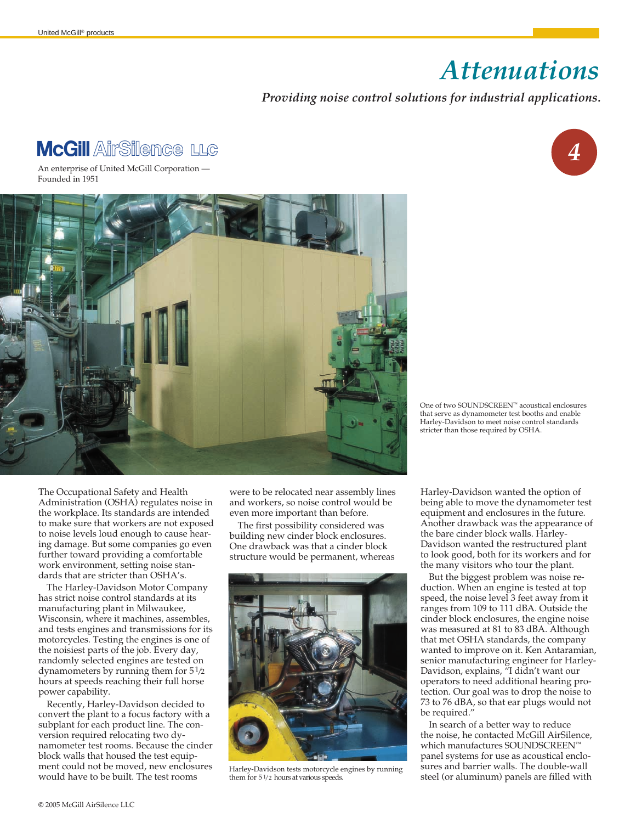## *Attenuations ,*

## *Providing noise control solutions for industrial applications.*

## **McGill AirSilence LLG**

An enterprise of United McGill Corporation — Founded in 1951



*4*

One of two SOUNDSCREEN™ acoustical enclosures that serve as dynamometer test booths and enable Harley-Davidson to meet noise control standards stricter than those required by OSHA.

The Occupational Safety and Health Administration (OSHA) regulates noise in the workplace. Its standards are intended to make sure that workers are not exposed to noise levels loud enough to cause hearing damage. But some companies go even further toward providing a comfortable work environment, setting noise standards that are stricter than OSHA's.

The Harley-Davidson Motor Company has strict noise control standards at its manufacturing plant in Milwaukee, Wisconsin, where it machines, assembles, and tests engines and transmissions for its motorcycles. Testing the engines is one of the noisiest parts of the job. Every day, randomly selected engines are tested on dynamometers by running them for  $5\frac{1}{2}$ hours at speeds reaching their full horse power capability.

Recently, Harley-Davidson decided to convert the plant to a focus factory with a subplant for each product line. The conversion required relocating two dynamometer test rooms. Because the cinder block walls that housed the test equipment could not be moved, new enclosures would have to be built. The test rooms

were to be relocated near assembly lines and workers, so noise control would be even more important than before.

The first possibility considered was building new cinder block enclosures. One drawback was that a cinder block structure would be permanent, whereas



them for  $5\frac{1}{2}$  hours at various speeds.

Harley-Davidson wanted the option of being able to move the dynamometer test equipment and enclosures in the future. Another drawback was the appearance of the bare cinder block walls. Harley-Davidson wanted the restructured plant to look good, both for its workers and for the many visitors who tour the plant.

But the biggest problem was noise reduction. When an engine is tested at top speed, the noise level 3 feet away from it ranges from 109 to 111 dBA. Outside the cinder block enclosures, the engine noise was measured at 81 to 83 dBA. Although that met OSHA standards, the company wanted to improve on it. Ken Antaramian, senior manufacturing engineer for Harley-Davidson, explains, "I didn't want our operators to need additional hearing protection. Our goal was to drop the noise to 73 to 76 dBA, so that ear plugs would not be required."

In search of a better way to reduce the noise, he contacted McGill AirSilence, which manufactures SOUNDSCREEN™ panel systems for use as acoustical enclosures and barrier walls. The double-wall Harley-Davidson tests motorcycle engines by running sures and barrier walls. I he double-wall<br>them for 51/2 hours at various speeds. Seel (or aluminum) panels are filled with